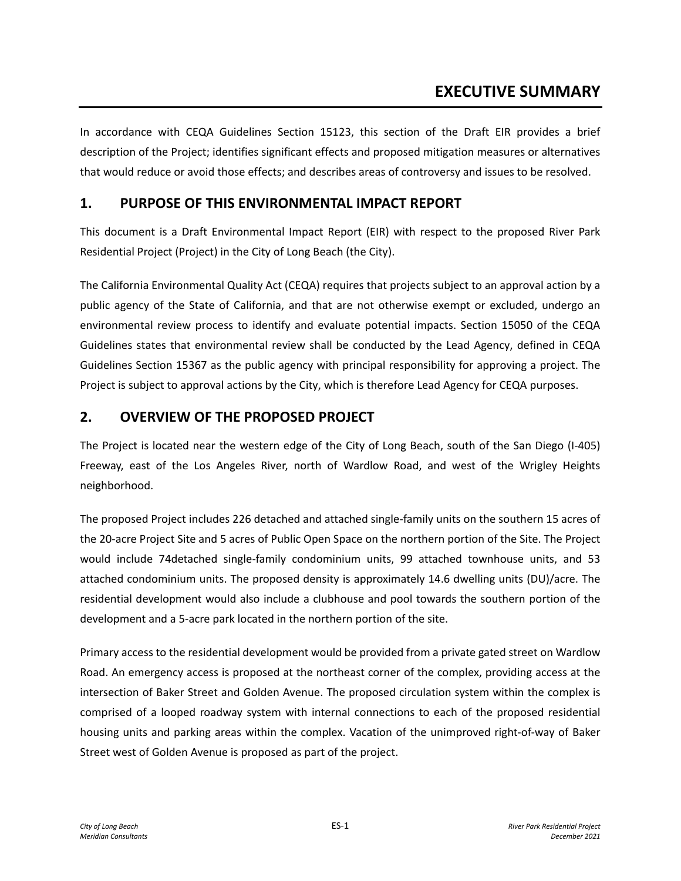# **EXECUTIVE SUMMARY**

In accordance with CEQA Guidelines Section 15123, this section of the Draft EIR provides a brief description of the Project; identifies significant effects and proposed mitigation measures or alternatives that would reduce or avoid those effects; and describes areas of controversy and issues to be resolved.

# **1. PURPOSE OF THIS ENVIRONMENTAL IMPACT REPORT**

This document is a Draft Environmental Impact Report (EIR) with respect to the proposed River Park Residential Project (Project) in the City of Long Beach (the City).

The California Environmental Quality Act (CEQA) requires that projects subject to an approval action by a public agency of the State of California, and that are not otherwise exempt or excluded, undergo an environmental review process to identify and evaluate potential impacts. Section 15050 of the CEQA Guidelines states that environmental review shall be conducted by the Lead Agency, defined in CEQA Guidelines Section 15367 as the public agency with principal responsibility for approving a project. The Project is subject to approval actions by the City, which is therefore Lead Agency for CEQA purposes.

# **2. OVERVIEW OF THE PROPOSED PROJECT**

The Project is located near the western edge of the City of Long Beach, south of the San Diego (I-405) Freeway, east of the Los Angeles River, north of Wardlow Road, and west of the Wrigley Heights neighborhood.

The proposed Project includes 226 detached and attached single-family units on the southern 15 acres of the 20-acre Project Site and 5 acres of Public Open Space on the northern portion of the Site. The Project would include 74detached single-family condominium units, 99 attached townhouse units, and 53 attached condominium units. The proposed density is approximately 14.6 dwelling units (DU)/acre. The residential development would also include a clubhouse and pool towards the southern portion of the development and a 5-acre park located in the northern portion of the site.

Primary access to the residential development would be provided from a private gated street on Wardlow Road. An emergency access is proposed at the northeast corner of the complex, providing access at the intersection of Baker Street and Golden Avenue. The proposed circulation system within the complex is comprised of a looped roadway system with internal connections to each of the proposed residential housing units and parking areas within the complex. Vacation of the unimproved right-of-way of Baker Street west of Golden Avenue is proposed as part of the project.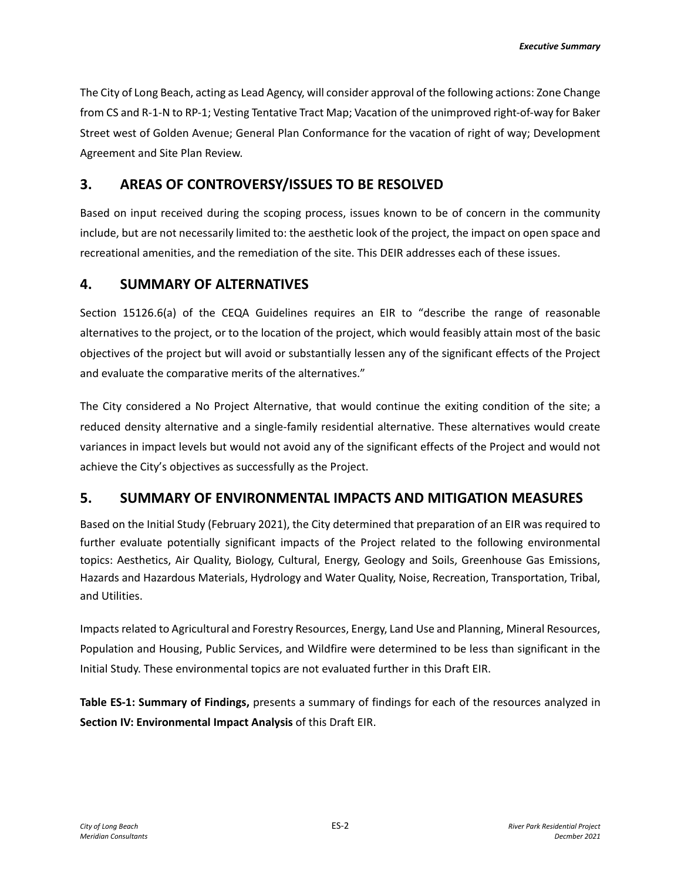The City of Long Beach, acting as Lead Agency, will consider approval of the following actions: Zone Change from CS and R-1-N to RP-1; Vesting Tentative Tract Map; Vacation of the unimproved right-of-way for Baker Street west of Golden Avenue; General Plan Conformance for the vacation of right of way; Development Agreement and Site Plan Review.

# **3. AREAS OF CONTROVERSY/ISSUES TO BE RESOLVED**

Based on input received during the scoping process, issues known to be of concern in the community include, but are not necessarily limited to: the aesthetic look of the project, the impact on open space and recreational amenities, and the remediation of the site. This DEIR addresses each of these issues.

# **4. SUMMARY OF ALTERNATIVES**

Section 15126.6(a) of the CEQA Guidelines requires an EIR to "describe the range of reasonable alternatives to the project, or to the location of the project, which would feasibly attain most of the basic objectives of the project but will avoid or substantially lessen any of the significant effects of the Project and evaluate the comparative merits of the alternatives."

The City considered a No Project Alternative, that would continue the exiting condition of the site; a reduced density alternative and a single-family residential alternative. These alternatives would create variances in impact levels but would not avoid any of the significant effects of the Project and would not achieve the City's objectives as successfully as the Project.

# **5. SUMMARY OF ENVIRONMENTAL IMPACTS AND MITIGATION MEASURES**

Based on the Initial Study (February 2021), the City determined that preparation of an EIR was required to further evaluate potentially significant impacts of the Project related to the following environmental topics: Aesthetics, Air Quality, Biology, Cultural, Energy, Geology and Soils, Greenhouse Gas Emissions, Hazards and Hazardous Materials, Hydrology and Water Quality, Noise, Recreation, Transportation, Tribal, and Utilities.

Impacts related to Agricultural and Forestry Resources, Energy, Land Use and Planning, Mineral Resources, Population and Housing, Public Services, and Wildfire were determined to be less than significant in the Initial Study. These environmental topics are not evaluated further in this Draft EIR.

**Table ES-1: Summary of Findings,** presents a summary of findings for each of the resources analyzed in **Section IV: Environmental Impact Analysis** of this Draft EIR.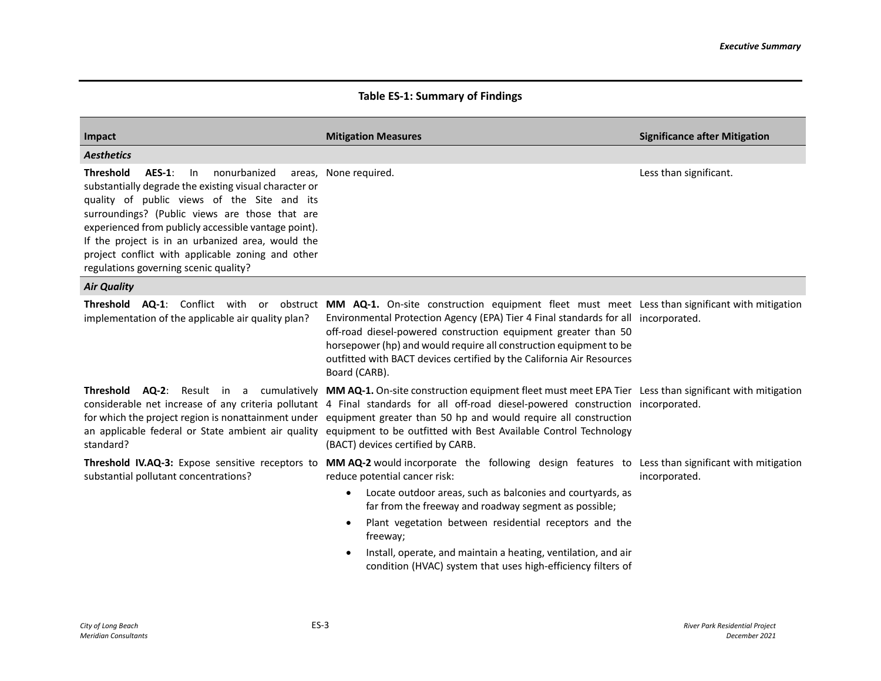## **Table ES-1: Summary of Findings**

| Impact                                                                                                                                                                                                                                                                                                                                                                                                                        | <b>Mitigation Measures</b>                                                                                                                                                                                                                                                                                                                                                                                                                                                                                                                                                    | <b>Significance after Mitigation</b> |
|-------------------------------------------------------------------------------------------------------------------------------------------------------------------------------------------------------------------------------------------------------------------------------------------------------------------------------------------------------------------------------------------------------------------------------|-------------------------------------------------------------------------------------------------------------------------------------------------------------------------------------------------------------------------------------------------------------------------------------------------------------------------------------------------------------------------------------------------------------------------------------------------------------------------------------------------------------------------------------------------------------------------------|--------------------------------------|
| <b>Aesthetics</b>                                                                                                                                                                                                                                                                                                                                                                                                             |                                                                                                                                                                                                                                                                                                                                                                                                                                                                                                                                                                               |                                      |
| <b>Threshold</b><br>nonurbanized<br><b>AES-1:</b><br>In<br>substantially degrade the existing visual character or<br>quality of public views of the Site and its<br>surroundings? (Public views are those that are<br>experienced from publicly accessible vantage point).<br>If the project is in an urbanized area, would the<br>project conflict with applicable zoning and other<br>regulations governing scenic quality? | areas, None required.                                                                                                                                                                                                                                                                                                                                                                                                                                                                                                                                                         | Less than significant.               |
| <b>Air Quality</b>                                                                                                                                                                                                                                                                                                                                                                                                            |                                                                                                                                                                                                                                                                                                                                                                                                                                                                                                                                                                               |                                      |
| implementation of the applicable air quality plan?                                                                                                                                                                                                                                                                                                                                                                            | Threshold AQ-1: Conflict with or obstruct MM AQ-1. On-site construction equipment fleet must meet Less than significant with mitigation<br>Environmental Protection Agency (EPA) Tier 4 Final standards for all incorporated.<br>off-road diesel-powered construction equipment greater than 50<br>horsepower (hp) and would require all construction equipment to be<br>outfitted with BACT devices certified by the California Air Resources<br>Board (CARB).                                                                                                               |                                      |
| standard?                                                                                                                                                                                                                                                                                                                                                                                                                     | <b>Threshold AQ-2</b> : Result in a cumulatively MMAQ-1. On-site construction equipment fleet must meet EPA Tier Less than significant with mitigation<br>considerable net increase of any criteria pollutant 4 Final standards for all off-road diesel-powered construction incorporated.<br>for which the project region is nonattainment under equipment greater than 50 hp and would require all construction<br>an applicable federal or State ambient air quality equipment to be outfitted with Best Available Control Technology<br>(BACT) devices certified by CARB. |                                      |
| substantial pollutant concentrations?                                                                                                                                                                                                                                                                                                                                                                                         | Threshold IV.AQ-3: Expose sensitive receptors to MM AQ-2 would incorporate the following design features to Less than significant with mitigation<br>reduce potential cancer risk:<br>Locate outdoor areas, such as balconies and courtyards, as<br>$\bullet$<br>far from the freeway and roadway segment as possible;<br>Plant vegetation between residential receptors and the<br>$\bullet$<br>freeway;<br>Install, operate, and maintain a heating, ventilation, and air<br>$\bullet$<br>condition (HVAC) system that uses high-efficiency filters of                      | incorporated.                        |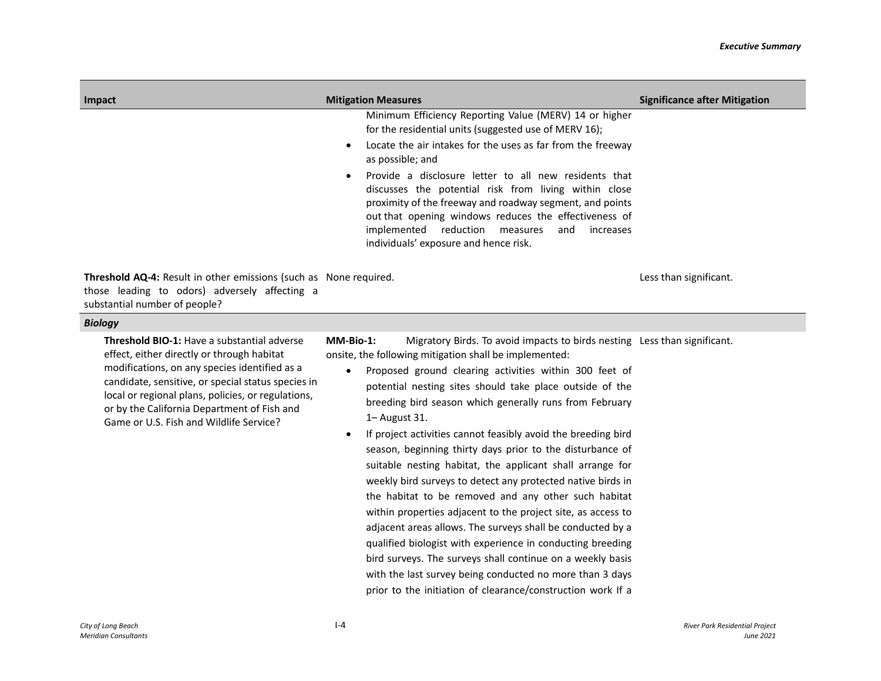| Impact                                                                                                                                                     | <b>Mitigation Measures</b>                                                                                                                                                                                                                                                                                                                   | <b>Significance after Mitigation</b> |
|------------------------------------------------------------------------------------------------------------------------------------------------------------|----------------------------------------------------------------------------------------------------------------------------------------------------------------------------------------------------------------------------------------------------------------------------------------------------------------------------------------------|--------------------------------------|
|                                                                                                                                                            | Minimum Efficiency Reporting Value (MERV) 14 or higher<br>for the residential units (suggested use of MERV 16);                                                                                                                                                                                                                              |                                      |
|                                                                                                                                                            | Locate the air intakes for the uses as far from the freeway<br>$\bullet$<br>as possible; and                                                                                                                                                                                                                                                 |                                      |
|                                                                                                                                                            | Provide a disclosure letter to all new residents that<br>$\bullet$<br>discusses the potential risk from living within close<br>proximity of the freeway and roadway segment, and points<br>out that opening windows reduces the effectiveness of<br>implemented reduction measures<br>and increases<br>individuals' exposure and hence risk. |                                      |
| <b>Threshold AQ-4:</b> Result in other emissions (such as None required.<br>those leading to odors) adversely affecting a<br>substantial number of people? |                                                                                                                                                                                                                                                                                                                                              | Less than significant.               |
| <b>Biology</b>                                                                                                                                             |                                                                                                                                                                                                                                                                                                                                              |                                      |

**Threshold BIO-1:** Have a substantial adverse effect, either directly or through habitat modifications, on any species identified as a candidate, sensitive, or special status species in local or regional plans, policies, or regulations, or by the California Department of Fish and Game or U.S. Fish and Wildlife Service?

**MM-Bio-1:** Migratory Birds. To avoid impacts to birds nesting Less than significant.onsite, the following mitigation shall be implemented:

- Proposed ground clearing activities within 300 feet of potential nesting sites should take place outside of the breeding bird season which generally runs from February 1– August 31.
- If project activities cannot feasibly avoid the breeding bird season, beginning thirty days prior to the disturbance of suitable nesting habitat, the applicant shall arrange for weekly bird surveys to detect any protected native birds in the habitat to be removed and any other such habitat within properties adjacent to the project site, as access to adjacent areas allows. The surveys shall be conducted by a qualified biologist with experience in conducting breeding bird surveys. The surveys shall continue on a weekly basis with the last survey being conducted no more than 3 days prior to the initiation of clearance/construction work If a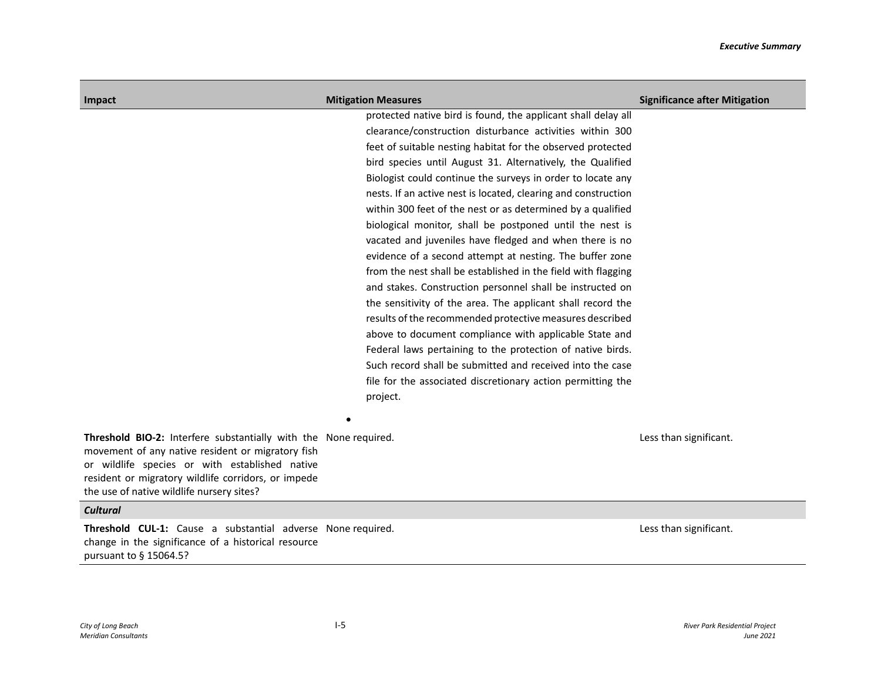| Impact                                                                                                                                                                                                                                                                      | <b>Mitigation Measures</b>                                                                                                                                                                                                                                                                                                                                                                                                                                                                                                                                                                                                                                                                                                                                                                                                                                                                                                                                                                                                                                                                                                                                         | <b>Significance after Mitigation</b> |
|-----------------------------------------------------------------------------------------------------------------------------------------------------------------------------------------------------------------------------------------------------------------------------|--------------------------------------------------------------------------------------------------------------------------------------------------------------------------------------------------------------------------------------------------------------------------------------------------------------------------------------------------------------------------------------------------------------------------------------------------------------------------------------------------------------------------------------------------------------------------------------------------------------------------------------------------------------------------------------------------------------------------------------------------------------------------------------------------------------------------------------------------------------------------------------------------------------------------------------------------------------------------------------------------------------------------------------------------------------------------------------------------------------------------------------------------------------------|--------------------------------------|
|                                                                                                                                                                                                                                                                             | protected native bird is found, the applicant shall delay all<br>clearance/construction disturbance activities within 300<br>feet of suitable nesting habitat for the observed protected<br>bird species until August 31. Alternatively, the Qualified<br>Biologist could continue the surveys in order to locate any<br>nests. If an active nest is located, clearing and construction<br>within 300 feet of the nest or as determined by a qualified<br>biological monitor, shall be postponed until the nest is<br>vacated and juveniles have fledged and when there is no<br>evidence of a second attempt at nesting. The buffer zone<br>from the nest shall be established in the field with flagging<br>and stakes. Construction personnel shall be instructed on<br>the sensitivity of the area. The applicant shall record the<br>results of the recommended protective measures described<br>above to document compliance with applicable State and<br>Federal laws pertaining to the protection of native birds.<br>Such record shall be submitted and received into the case<br>file for the associated discretionary action permitting the<br>project. |                                      |
| Threshold BIO-2: Interfere substantially with the None required.<br>movement of any native resident or migratory fish<br>or wildlife species or with established native<br>resident or migratory wildlife corridors, or impede<br>the use of native wildlife nursery sites? |                                                                                                                                                                                                                                                                                                                                                                                                                                                                                                                                                                                                                                                                                                                                                                                                                                                                                                                                                                                                                                                                                                                                                                    | Less than significant.               |
| <b>Cultural</b>                                                                                                                                                                                                                                                             |                                                                                                                                                                                                                                                                                                                                                                                                                                                                                                                                                                                                                                                                                                                                                                                                                                                                                                                                                                                                                                                                                                                                                                    |                                      |
| <b>Threshold CUL-1:</b> Cause a substantial adverse None required.<br>change in the significance of a historical resource<br>pursuant to § 15064.5?                                                                                                                         |                                                                                                                                                                                                                                                                                                                                                                                                                                                                                                                                                                                                                                                                                                                                                                                                                                                                                                                                                                                                                                                                                                                                                                    | Less than significant.               |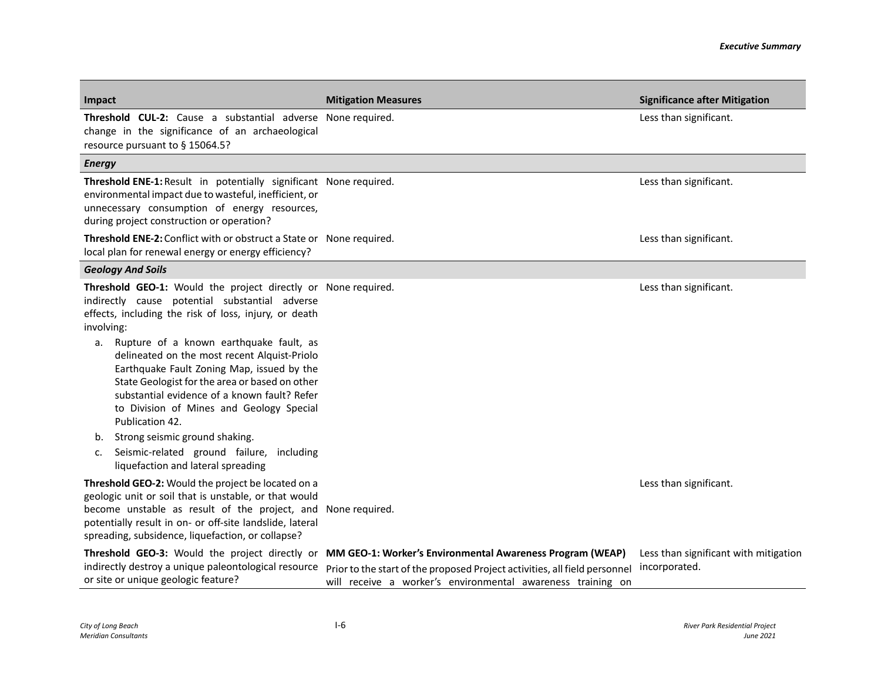| Impact                                                                                                                                                                                                                                                                                                                                                                                                                                                                                                 | <b>Mitigation Measures</b>                                                                                                                                                                                                                            | <b>Significance after Mitigation</b>                   |
|--------------------------------------------------------------------------------------------------------------------------------------------------------------------------------------------------------------------------------------------------------------------------------------------------------------------------------------------------------------------------------------------------------------------------------------------------------------------------------------------------------|-------------------------------------------------------------------------------------------------------------------------------------------------------------------------------------------------------------------------------------------------------|--------------------------------------------------------|
| Threshold CUL-2: Cause a substantial adverse None required.<br>change in the significance of an archaeological<br>resource pursuant to § 15064.5?                                                                                                                                                                                                                                                                                                                                                      |                                                                                                                                                                                                                                                       | Less than significant.                                 |
| <b>Energy</b>                                                                                                                                                                                                                                                                                                                                                                                                                                                                                          |                                                                                                                                                                                                                                                       |                                                        |
| Threshold ENE-1: Result in potentially significant None required.<br>environmental impact due to wasteful, inefficient, or<br>unnecessary consumption of energy resources,<br>during project construction or operation?                                                                                                                                                                                                                                                                                |                                                                                                                                                                                                                                                       | Less than significant.                                 |
| Threshold ENE-2: Conflict with or obstruct a State or None required.<br>local plan for renewal energy or energy efficiency?                                                                                                                                                                                                                                                                                                                                                                            |                                                                                                                                                                                                                                                       | Less than significant.                                 |
| <b>Geology And Soils</b>                                                                                                                                                                                                                                                                                                                                                                                                                                                                               |                                                                                                                                                                                                                                                       |                                                        |
| Threshold GEO-1: Would the project directly or None required.<br>indirectly cause potential substantial adverse<br>effects, including the risk of loss, injury, or death<br>involving:<br>Rupture of a known earthquake fault, as<br>а.<br>delineated on the most recent Alquist-Priolo<br>Earthquake Fault Zoning Map, issued by the<br>State Geologist for the area or based on other<br>substantial evidence of a known fault? Refer<br>to Division of Mines and Geology Special<br>Publication 42. |                                                                                                                                                                                                                                                       | Less than significant.                                 |
| Strong seismic ground shaking.<br>b.                                                                                                                                                                                                                                                                                                                                                                                                                                                                   |                                                                                                                                                                                                                                                       |                                                        |
| Seismic-related ground failure, including<br>c.<br>liquefaction and lateral spreading                                                                                                                                                                                                                                                                                                                                                                                                                  |                                                                                                                                                                                                                                                       |                                                        |
| Threshold GEO-2: Would the project be located on a<br>geologic unit or soil that is unstable, or that would<br>become unstable as result of the project, and None required.<br>potentially result in on- or off-site landslide, lateral<br>spreading, subsidence, liquefaction, or collapse?                                                                                                                                                                                                           |                                                                                                                                                                                                                                                       | Less than significant.                                 |
| indirectly destroy a unique paleontological resource<br>or site or unique geologic feature?                                                                                                                                                                                                                                                                                                                                                                                                            | Threshold GEO-3: Would the project directly or MM GEO-1: Worker's Environmental Awareness Program (WEAP)<br>Prior to the start of the proposed Project activities, all field personnel<br>will receive a worker's environmental awareness training on | Less than significant with mitigation<br>incorporated. |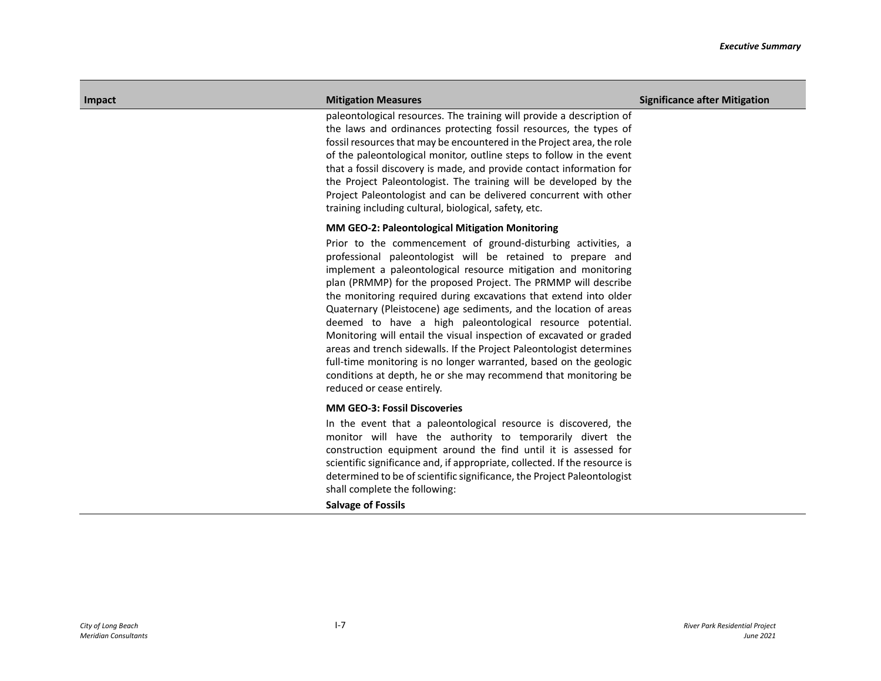paleontological resources. The training will provide a description of the laws and ordinances protecting fossil resources, the types of fossil resources that may be encountered in the Project area, the role of the paleontological monitor, outline steps to follow in the event that a fossil discovery is made, and provide contact information for the Project Paleontologist. The training will be developed by the Project Paleontologist and can be delivered concurrent with other training including cultural, biological, safety, etc.

## **MM GEO-2: Paleontological Mitigation Monitoring**

Prior to the commencement of ground-disturbing activities, a professional paleontologist will be retained to prepare and implement a paleontological resource mitigation and monitoring plan (PRMMP) for the proposed Project. The PRMMP will describe the monitoring required during excavations that extend into older Quaternary (Pleistocene) age sediments, and the location of areas deemed to have a high paleontological resource potential. Monitoring will entail the visual inspection of excavated or graded areas and trench sidewalls. If the Project Paleontologist determines full-time monitoring is no longer warranted, based on the geologic conditions at depth, he or she may recommend that monitoring be reduced or cease entirely.

## **MM GEO-3: Fossil Discoveries**

In the event that a paleontological resource is discovered, the monitor will have the authority to temporarily divert the construction equipment around the find until it is assessed for scientific significance and, if appropriate, collected. If the resource is determined to be of scientific significance, the Project Paleontologist shall complete the following:

**Salvage of Fossils**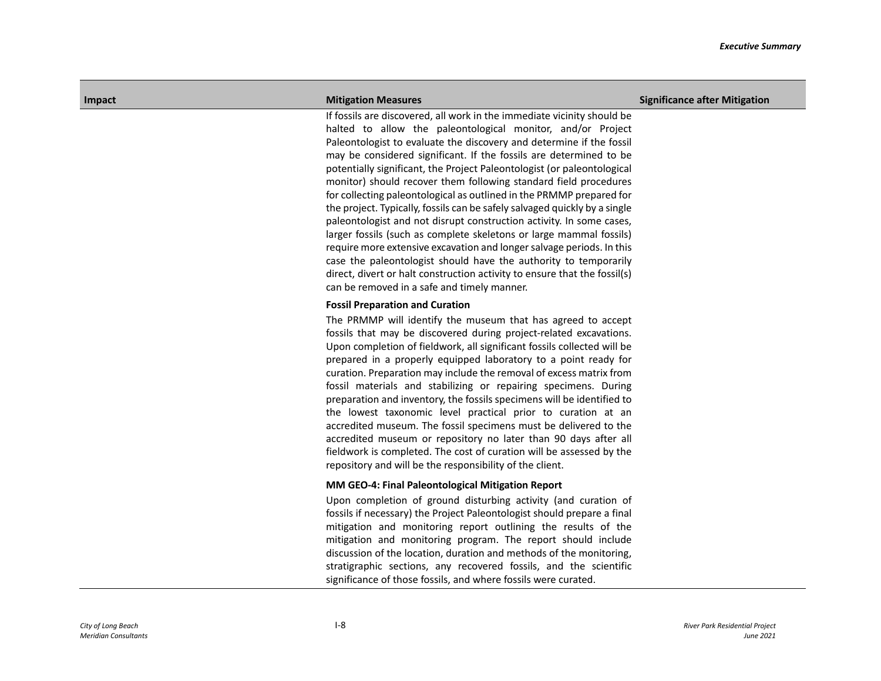If fossils are discovered, all work in the immediate vicinity should be halted to allow the paleontological monitor, and/or Project Paleontologist to evaluate the discovery and determine if the fossil may be considered significant. If the fossils are determined to be potentially significant, the Project Paleontologist (or paleontological monitor) should recover them following standard field procedures for collecting paleontological as outlined in the PRMMP prepared for the project. Typically, fossils can be safely salvaged quickly by a single paleontologist and not disrupt construction activity. In some cases, larger fossils (such as complete skeletons or large mammal fossils) require more extensive excavation and longer salvage periods. In this case the paleontologist should have the authority to temporarily direct, divert or halt construction activity to ensure that the fossil(s) can be removed in a safe and timely manner.

## **Fossil Preparation and Curation**

The PRMMP will identify the museum that has agreed to accept fossils that may be discovered during project-related excavations. Upon completion of fieldwork, all significant fossils collected will be prepared in a properly equipped laboratory to a point ready for curation. Preparation may include the removal of excess matrix from fossil materials and stabilizing or repairing specimens. During preparation and inventory, the fossils specimens will be identified to the lowest taxonomic level practical prior to curation at an accredited museum. The fossil specimens must be delivered to the accredited museum or repository no later than 90 days after all fieldwork is completed. The cost of curation will be assessed by the repository and will be the responsibility of the client.

## **MM GEO-4: Final Paleontological Mitigation Report**

Upon completion of ground disturbing activity (and curation of fossils if necessary) the Project Paleontologist should prepare a final mitigation and monitoring report outlining the results of the mitigation and monitoring program. The report should include discussion of the location, duration and methods of the monitoring, stratigraphic sections, any recovered fossils, and the scientific significance of those fossils, and where fossils were curated.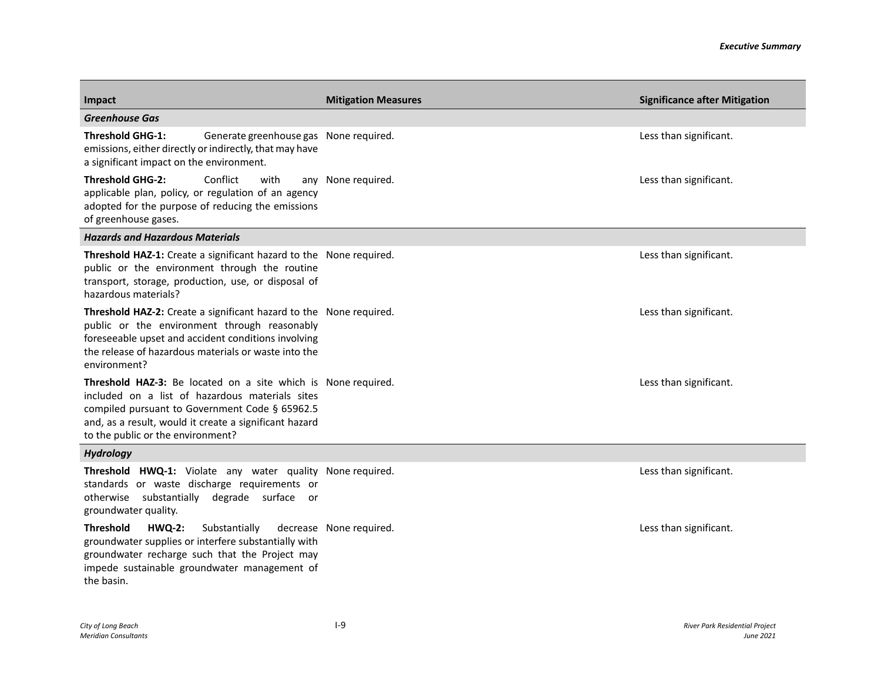| Impact                                                                                                                                                                                                                                                                   | <b>Mitigation Measures</b>             | <b>Significance after Mitigation</b> |
|--------------------------------------------------------------------------------------------------------------------------------------------------------------------------------------------------------------------------------------------------------------------------|----------------------------------------|--------------------------------------|
| <b>Greenhouse Gas</b>                                                                                                                                                                                                                                                    |                                        |                                      |
| <b>Threshold GHG-1:</b><br>emissions, either directly or indirectly, that may have<br>a significant impact on the environment.                                                                                                                                           | Generate greenhouse gas None required. | Less than significant.               |
| <b>Threshold GHG-2:</b><br>Conflict<br>with<br>applicable plan, policy, or regulation of an agency<br>adopted for the purpose of reducing the emissions<br>of greenhouse gases.                                                                                          | any None required.                     | Less than significant.               |
| <b>Hazards and Hazardous Materials</b>                                                                                                                                                                                                                                   |                                        |                                      |
| <b>Threshold HAZ-1:</b> Create a significant hazard to the None required.<br>public or the environment through the routine<br>transport, storage, production, use, or disposal of<br>hazardous materials?                                                                |                                        | Less than significant.               |
| Threshold HAZ-2: Create a significant hazard to the None required.<br>public or the environment through reasonably<br>foreseeable upset and accident conditions involving<br>the release of hazardous materials or waste into the<br>environment?                        |                                        | Less than significant.               |
| <b>Threshold HAZ-3:</b> Be located on a site which is None required.<br>included on a list of hazardous materials sites<br>compiled pursuant to Government Code § 65962.5<br>and, as a result, would it create a significant hazard<br>to the public or the environment? |                                        | Less than significant.               |
| <b>Hydrology</b>                                                                                                                                                                                                                                                         |                                        |                                      |
| Threshold HWQ-1: Violate any water quality None required.<br>standards or waste discharge requirements or<br>otherwise substantially degrade surface or<br>groundwater quality.                                                                                          |                                        | Less than significant.               |
| <b>Threshold</b><br><b>HWQ-2:</b><br>Substantially<br>groundwater supplies or interfere substantially with<br>groundwater recharge such that the Project may<br>impede sustainable groundwater management of<br>the basin.                                               | decrease None required.                | Less than significant.               |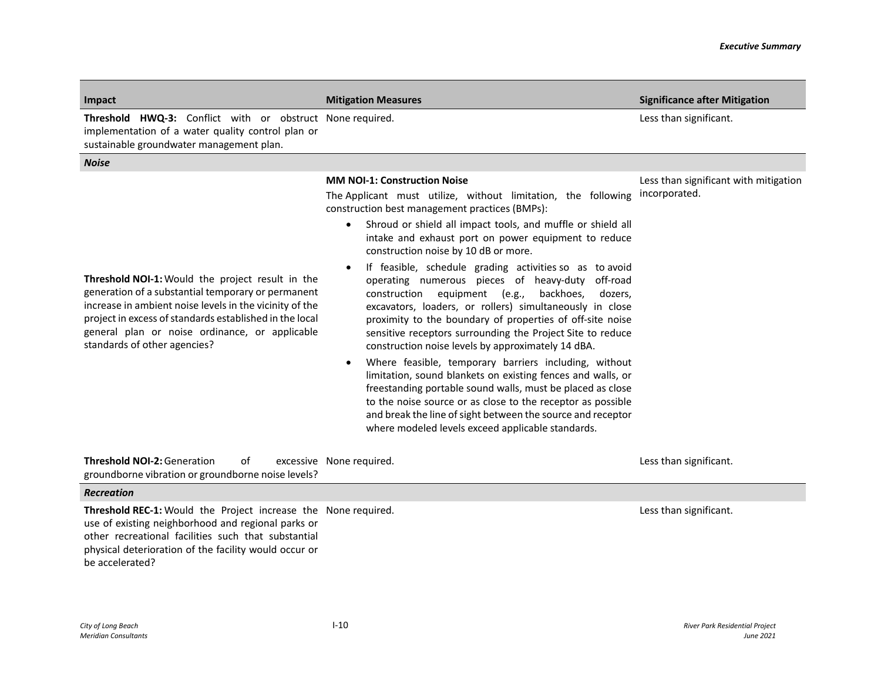| Impact                                                                                                                                                                                                                                                                                                                | <b>Mitigation Measures</b>                                                                                                                                                                                                                                                                                                                                                                                                                                                                                                                                                                                                                                                                                                                                                                                                                                                                                                                                                                                                                                                                                                          | <b>Significance after Mitigation</b>                   |
|-----------------------------------------------------------------------------------------------------------------------------------------------------------------------------------------------------------------------------------------------------------------------------------------------------------------------|-------------------------------------------------------------------------------------------------------------------------------------------------------------------------------------------------------------------------------------------------------------------------------------------------------------------------------------------------------------------------------------------------------------------------------------------------------------------------------------------------------------------------------------------------------------------------------------------------------------------------------------------------------------------------------------------------------------------------------------------------------------------------------------------------------------------------------------------------------------------------------------------------------------------------------------------------------------------------------------------------------------------------------------------------------------------------------------------------------------------------------------|--------------------------------------------------------|
| Threshold HWQ-3: Conflict with or obstruct None required.<br>implementation of a water quality control plan or<br>sustainable groundwater management plan.                                                                                                                                                            |                                                                                                                                                                                                                                                                                                                                                                                                                                                                                                                                                                                                                                                                                                                                                                                                                                                                                                                                                                                                                                                                                                                                     | Less than significant.                                 |
| <b>Noise</b>                                                                                                                                                                                                                                                                                                          |                                                                                                                                                                                                                                                                                                                                                                                                                                                                                                                                                                                                                                                                                                                                                                                                                                                                                                                                                                                                                                                                                                                                     |                                                        |
| <b>Threshold NOI-1:</b> Would the project result in the<br>generation of a substantial temporary or permanent<br>increase in ambient noise levels in the vicinity of the<br>project in excess of standards established in the local<br>general plan or noise ordinance, or applicable<br>standards of other agencies? | <b>MM NOI-1: Construction Noise</b><br>The Applicant must utilize, without limitation, the following<br>construction best management practices (BMPs):<br>Shroud or shield all impact tools, and muffle or shield all<br>intake and exhaust port on power equipment to reduce<br>construction noise by 10 dB or more.<br>If feasible, schedule grading activities so as to avoid<br>$\bullet$<br>operating numerous pieces of heavy-duty off-road<br>construction<br>equipment (e.g.,<br>backhoes,<br>dozers,<br>excavators, loaders, or rollers) simultaneously in close<br>proximity to the boundary of properties of off-site noise<br>sensitive receptors surrounding the Project Site to reduce<br>construction noise levels by approximately 14 dBA.<br>Where feasible, temporary barriers including, without<br>limitation, sound blankets on existing fences and walls, or<br>freestanding portable sound walls, must be placed as close<br>to the noise source or as close to the receptor as possible<br>and break the line of sight between the source and receptor<br>where modeled levels exceed applicable standards. | Less than significant with mitigation<br>incorporated. |
| <b>Threshold NOI-2: Generation</b><br>of<br>groundborne vibration or groundborne noise levels?                                                                                                                                                                                                                        | excessive None required.                                                                                                                                                                                                                                                                                                                                                                                                                                                                                                                                                                                                                                                                                                                                                                                                                                                                                                                                                                                                                                                                                                            | Less than significant.                                 |
| <b>Recreation</b>                                                                                                                                                                                                                                                                                                     |                                                                                                                                                                                                                                                                                                                                                                                                                                                                                                                                                                                                                                                                                                                                                                                                                                                                                                                                                                                                                                                                                                                                     |                                                        |
| Threshold REC-1: Would the Project increase the None required.<br>use of existing neighborhood and regional parks or<br>other recreational facilities such that substantial<br>physical deterioration of the facility would occur or<br>be accelerated?                                                               |                                                                                                                                                                                                                                                                                                                                                                                                                                                                                                                                                                                                                                                                                                                                                                                                                                                                                                                                                                                                                                                                                                                                     | Less than significant.                                 |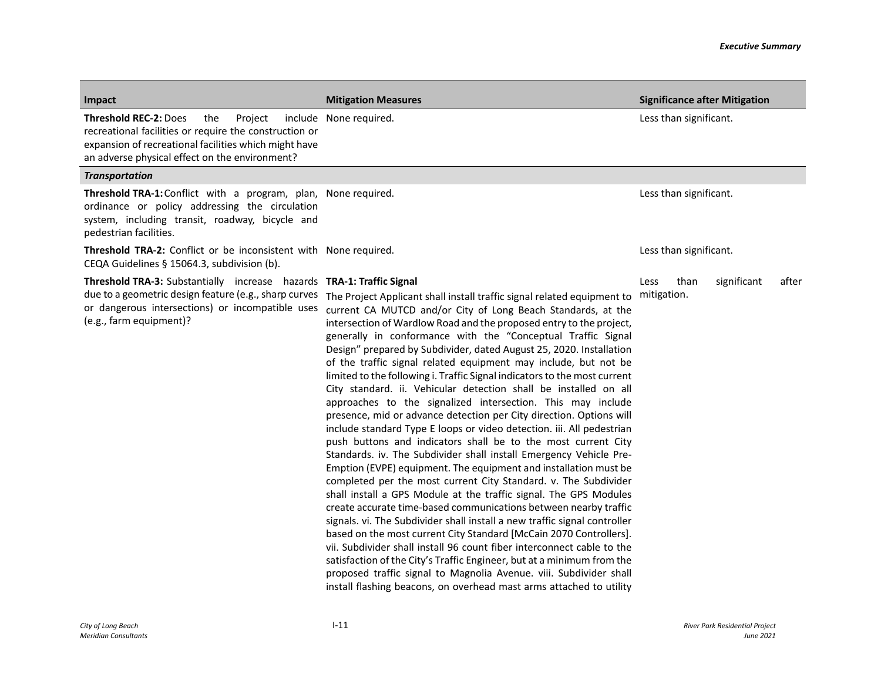| Impact                                                                                                                                                                                                              | <b>Mitigation Measures</b>                                                                                                                                                                                                                                                                                                                                                                                                                                                                                                                                                                                                                                                                                                                                                                                                                                                                                                                                                                                                                                                                                                                                                                                                                                                                                                                                                                                                                                                                                                                                                                                                                                                                                                | <b>Significance after Mitigation</b>                |
|---------------------------------------------------------------------------------------------------------------------------------------------------------------------------------------------------------------------|---------------------------------------------------------------------------------------------------------------------------------------------------------------------------------------------------------------------------------------------------------------------------------------------------------------------------------------------------------------------------------------------------------------------------------------------------------------------------------------------------------------------------------------------------------------------------------------------------------------------------------------------------------------------------------------------------------------------------------------------------------------------------------------------------------------------------------------------------------------------------------------------------------------------------------------------------------------------------------------------------------------------------------------------------------------------------------------------------------------------------------------------------------------------------------------------------------------------------------------------------------------------------------------------------------------------------------------------------------------------------------------------------------------------------------------------------------------------------------------------------------------------------------------------------------------------------------------------------------------------------------------------------------------------------------------------------------------------------|-----------------------------------------------------|
| <b>Threshold REC-2: Does</b><br>the<br>Project<br>recreational facilities or require the construction or<br>expansion of recreational facilities which might have<br>an adverse physical effect on the environment? | include None required.                                                                                                                                                                                                                                                                                                                                                                                                                                                                                                                                                                                                                                                                                                                                                                                                                                                                                                                                                                                                                                                                                                                                                                                                                                                                                                                                                                                                                                                                                                                                                                                                                                                                                                    | Less than significant.                              |
| <b>Transportation</b>                                                                                                                                                                                               |                                                                                                                                                                                                                                                                                                                                                                                                                                                                                                                                                                                                                                                                                                                                                                                                                                                                                                                                                                                                                                                                                                                                                                                                                                                                                                                                                                                                                                                                                                                                                                                                                                                                                                                           |                                                     |
| Threshold TRA-1: Conflict with a program, plan, None required.<br>ordinance or policy addressing the circulation<br>system, including transit, roadway, bicycle and<br>pedestrian facilities.                       |                                                                                                                                                                                                                                                                                                                                                                                                                                                                                                                                                                                                                                                                                                                                                                                                                                                                                                                                                                                                                                                                                                                                                                                                                                                                                                                                                                                                                                                                                                                                                                                                                                                                                                                           | Less than significant.                              |
| Threshold TRA-2: Conflict or be inconsistent with None required.<br>CEQA Guidelines § 15064.3, subdivision (b).                                                                                                     |                                                                                                                                                                                                                                                                                                                                                                                                                                                                                                                                                                                                                                                                                                                                                                                                                                                                                                                                                                                                                                                                                                                                                                                                                                                                                                                                                                                                                                                                                                                                                                                                                                                                                                                           | Less than significant.                              |
| Threshold TRA-3: Substantially increase hazards TRA-1: Traffic Signal<br>or dangerous intersections) or incompatible uses<br>(e.g., farm equipment)?                                                                | due to a geometric design feature (e.g., sharp curves The Project Applicant shall install traffic signal related equipment to<br>current CA MUTCD and/or City of Long Beach Standards, at the<br>intersection of Wardlow Road and the proposed entry to the project,<br>generally in conformance with the "Conceptual Traffic Signal<br>Design" prepared by Subdivider, dated August 25, 2020. Installation<br>of the traffic signal related equipment may include, but not be<br>limited to the following i. Traffic Signal indicators to the most current<br>City standard. ii. Vehicular detection shall be installed on all<br>approaches to the signalized intersection. This may include<br>presence, mid or advance detection per City direction. Options will<br>include standard Type E loops or video detection. iii. All pedestrian<br>push buttons and indicators shall be to the most current City<br>Standards. iv. The Subdivider shall install Emergency Vehicle Pre-<br>Emption (EVPE) equipment. The equipment and installation must be<br>completed per the most current City Standard. v. The Subdivider<br>shall install a GPS Module at the traffic signal. The GPS Modules<br>create accurate time-based communications between nearby traffic<br>signals. vi. The Subdivider shall install a new traffic signal controller<br>based on the most current City Standard [McCain 2070 Controllers].<br>vii. Subdivider shall install 96 count fiber interconnect cable to the<br>satisfaction of the City's Traffic Engineer, but at a minimum from the<br>proposed traffic signal to Magnolia Avenue. viii. Subdivider shall<br>install flashing beacons, on overhead mast arms attached to utility | Less<br>than<br>significant<br>after<br>mitigation. |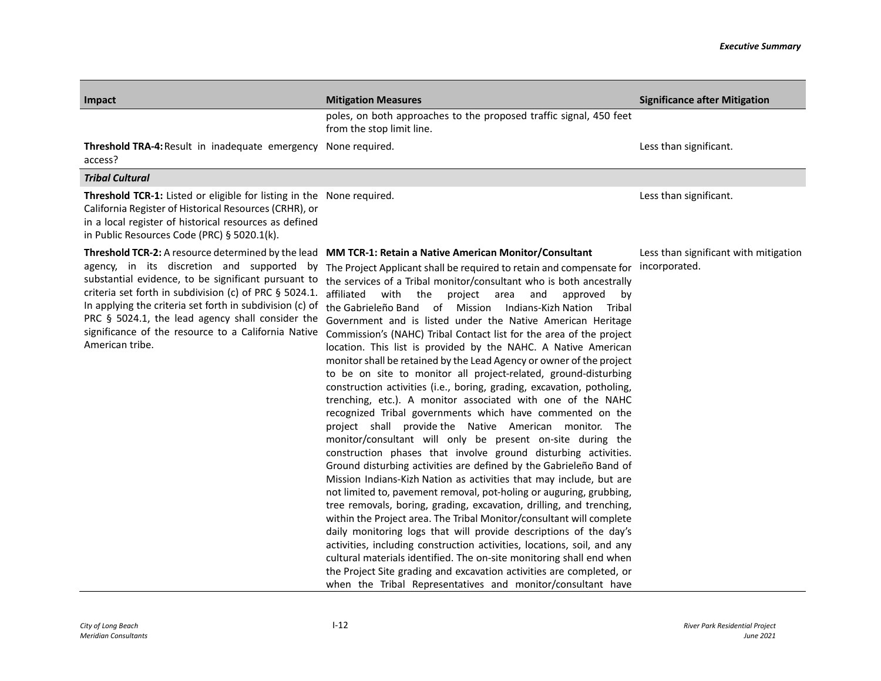| Impact                                                                                                                                                                                                                                                                                                                                                | <b>Mitigation Measures</b>                                                                                                                                                                                                                                                                                                                                                                                                                                                                                                                                                                                                                                                                                                                                                                                                                                                                                                                                                                                                                                                                                                                                                                                                                                                                                                                                                                                                                                                                                                                                                                                                                                                                                                                                                                                                                                                 | <b>Significance after Mitigation</b>                   |
|-------------------------------------------------------------------------------------------------------------------------------------------------------------------------------------------------------------------------------------------------------------------------------------------------------------------------------------------------------|----------------------------------------------------------------------------------------------------------------------------------------------------------------------------------------------------------------------------------------------------------------------------------------------------------------------------------------------------------------------------------------------------------------------------------------------------------------------------------------------------------------------------------------------------------------------------------------------------------------------------------------------------------------------------------------------------------------------------------------------------------------------------------------------------------------------------------------------------------------------------------------------------------------------------------------------------------------------------------------------------------------------------------------------------------------------------------------------------------------------------------------------------------------------------------------------------------------------------------------------------------------------------------------------------------------------------------------------------------------------------------------------------------------------------------------------------------------------------------------------------------------------------------------------------------------------------------------------------------------------------------------------------------------------------------------------------------------------------------------------------------------------------------------------------------------------------------------------------------------------------|--------------------------------------------------------|
|                                                                                                                                                                                                                                                                                                                                                       | poles, on both approaches to the proposed traffic signal, 450 feet<br>from the stop limit line.                                                                                                                                                                                                                                                                                                                                                                                                                                                                                                                                                                                                                                                                                                                                                                                                                                                                                                                                                                                                                                                                                                                                                                                                                                                                                                                                                                                                                                                                                                                                                                                                                                                                                                                                                                            |                                                        |
| Threshold TRA-4: Result in inadequate emergency None required.<br>access?                                                                                                                                                                                                                                                                             |                                                                                                                                                                                                                                                                                                                                                                                                                                                                                                                                                                                                                                                                                                                                                                                                                                                                                                                                                                                                                                                                                                                                                                                                                                                                                                                                                                                                                                                                                                                                                                                                                                                                                                                                                                                                                                                                            | Less than significant.                                 |
| <b>Tribal Cultural</b>                                                                                                                                                                                                                                                                                                                                |                                                                                                                                                                                                                                                                                                                                                                                                                                                                                                                                                                                                                                                                                                                                                                                                                                                                                                                                                                                                                                                                                                                                                                                                                                                                                                                                                                                                                                                                                                                                                                                                                                                                                                                                                                                                                                                                            |                                                        |
| Threshold TCR-1: Listed or eligible for listing in the None required.<br>California Register of Historical Resources (CRHR), or<br>in a local register of historical resources as defined<br>in Public Resources Code (PRC) § 5020.1(k).                                                                                                              |                                                                                                                                                                                                                                                                                                                                                                                                                                                                                                                                                                                                                                                                                                                                                                                                                                                                                                                                                                                                                                                                                                                                                                                                                                                                                                                                                                                                                                                                                                                                                                                                                                                                                                                                                                                                                                                                            | Less than significant.                                 |
| agency, in its discretion and supported by<br>substantial evidence, to be significant pursuant to<br>criteria set forth in subdivision (c) of PRC § 5024.1.<br>In applying the criteria set forth in subdivision (c) of<br>PRC § 5024.1, the lead agency shall consider the<br>significance of the resource to a California Native<br>American tribe. | Threshold TCR-2: A resource determined by the lead MM TCR-1: Retain a Native American Monitor/Consultant<br>The Project Applicant shall be required to retain and compensate for<br>the services of a Tribal monitor/consultant who is both ancestrally<br>affiliated with the<br>project area<br>and<br>approved<br>bv<br>the Gabrieleño Band of Mission Indians-Kizh Nation Tribal<br>Government and is listed under the Native American Heritage<br>Commission's (NAHC) Tribal Contact list for the area of the project<br>location. This list is provided by the NAHC. A Native American<br>monitor shall be retained by the Lead Agency or owner of the project<br>to be on site to monitor all project-related, ground-disturbing<br>construction activities (i.e., boring, grading, excavation, potholing,<br>trenching, etc.). A monitor associated with one of the NAHC<br>recognized Tribal governments which have commented on the<br>project shall provide-the Native American monitor. The<br>monitor/consultant will only be present on-site during the<br>construction phases that involve ground disturbing activities.<br>Ground disturbing activities are defined by the Gabrieleño Band of<br>Mission Indians-Kizh Nation as activities that may include, but are<br>not limited to, pavement removal, pot-holing or auguring, grubbing,<br>tree removals, boring, grading, excavation, drilling, and trenching,<br>within the Project area. The Tribal Monitor/consultant will complete<br>daily monitoring logs that will provide descriptions of the day's<br>activities, including construction activities, locations, soil, and any<br>cultural materials identified. The on-site monitoring shall end when<br>the Project Site grading and excavation activities are completed, or<br>when the Tribal Representatives and monitor/consultant have | Less than significant with mitigation<br>incorporated. |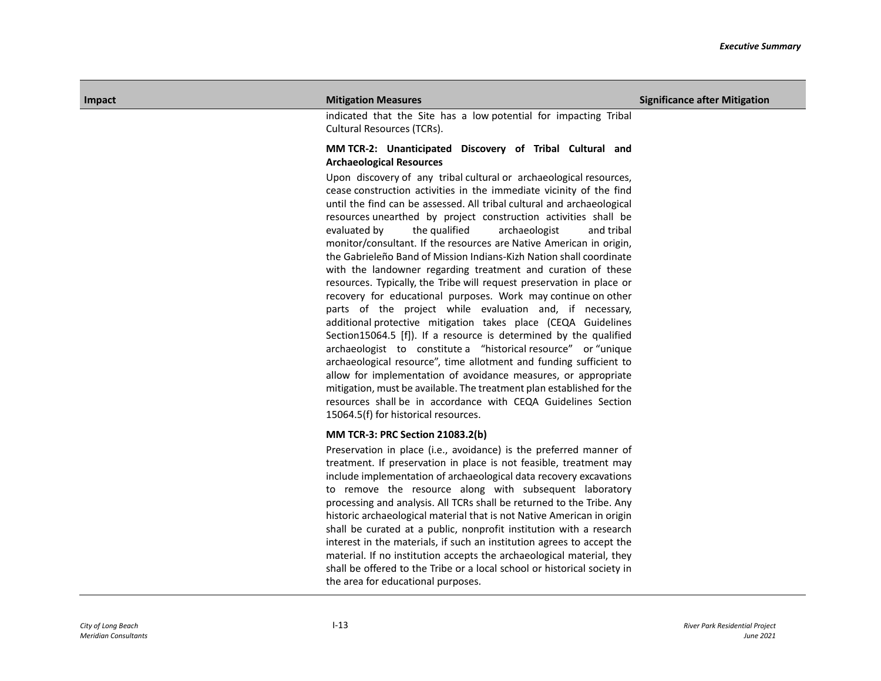indicated that the Site has a low potential for impacting Tribal Cultural Resources (TCRs).

## **MM TCR-2: Unanticipated Discovery of Tribal Cultural and Archaeological Resources**

Upon discovery of any tribal cultural or archaeological resources, cease construction activities in the immediate vicinity of the find until the find can be assessed. All tribal cultural and archaeological resources unearthed by project construction activities shall be evaluated by the qualified archaeologist and tribal monitor/consultant. If the resources are Native American in origin, the Gabrieleño Band of Mission Indians-Kizh Nation shall coordinate with the landowner regarding treatment and curation of these resources. Typically, the Tribe will request preservation in place or recovery for educational purposes. Work may continue on other parts of the project while evaluation and, if necessary, additional protective mitigation takes place (CEQA Guidelines Section15064.5 [f]). If a resource is determined by the qualified archaeologist to constitute a "historical resource" or "unique archaeological resource", time allotment and funding sufficient to allow for implementation of avoidance measures, or appropriate mitigation, must be available. The treatment plan established for the resources shall be in accordance with CEQA Guidelines Section 15064.5(f) for historical resources.

## **MM TCR-3: PRC Section 21083.2(b)**

Preservation in place (i.e., avoidance) is the preferred manner of treatment. If preservation in place is not feasible, treatment may include implementation of archaeological data recovery excavations to remove the resource along with subsequent laboratory processing and analysis. All TCRs shall be returned to the Tribe. Any historic archaeological material that is not Native American in origin shall be curated at a public, nonprofit institution with a research interest in the materials, if such an institution agrees to accept the material. If no institution accepts the archaeological material, they shall be offered to the Tribe or a local school or historical society in the area for educational purposes.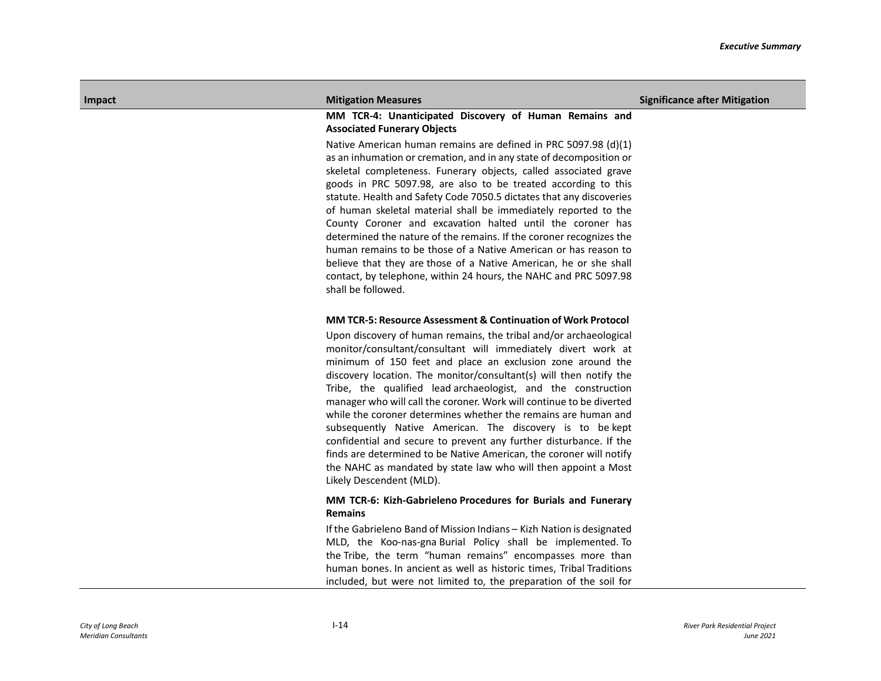## **MM TCR-4: Unanticipated Discovery of Human Remains and Associated Funerary Objects**

Native American human remains are defined in PRC 5097.98 (d)(1) as an inhumation or cremation, and in any state of decomposition or skeletal completeness. Funerary objects, called associated grave goods in PRC 5097.98, are also to be treated according to this statute. Health and Safety Code 7050.5 dictates that any discoveries of human skeletal material shall be immediately reported to the County Coroner and excavation halted until the coroner has determined the nature of the remains. If the coroner recognizes the human remains to be those of a Native American or has reason to believe that they are those of a Native American, he or she shall contact, by telephone, within 24 hours, the NAHC and PRC 5097.98 shall be followed.

## **MM TCR-5: Resource Assessment & Continuation of Work Protocol**

Upon discovery of human remains, the tribal and/or archaeological monitor/consultant/consultant will immediately divert work at minimum of 150 feet and place an exclusion zone around the discovery location. The monitor/consultant(s) will then notify the Tribe, the qualified lead archaeologist, and the construction manager who will call the coroner. Work will continue to be diverted while the coroner determines whether the remains are human and subsequently Native American. The discovery is to be kept confidential and secure to prevent any further disturbance. If the finds are determined to be Native American, the coroner will notify the NAHC as mandated by state law who will then appoint a Most Likely Descendent (MLD).

## **MM TCR-6: Kizh-Gabrieleno Procedures for Burials and Funerary Remains**

If the Gabrieleno Band of Mission Indians – Kizh Nation is designated MLD, the Koo-nas-gna Burial Policy shall be implemented. To the Tribe, the term "human remains" encompasses more than human bones. In ancient as well as historic times, Tribal Traditions included, but were not limited to, the preparation of the soil for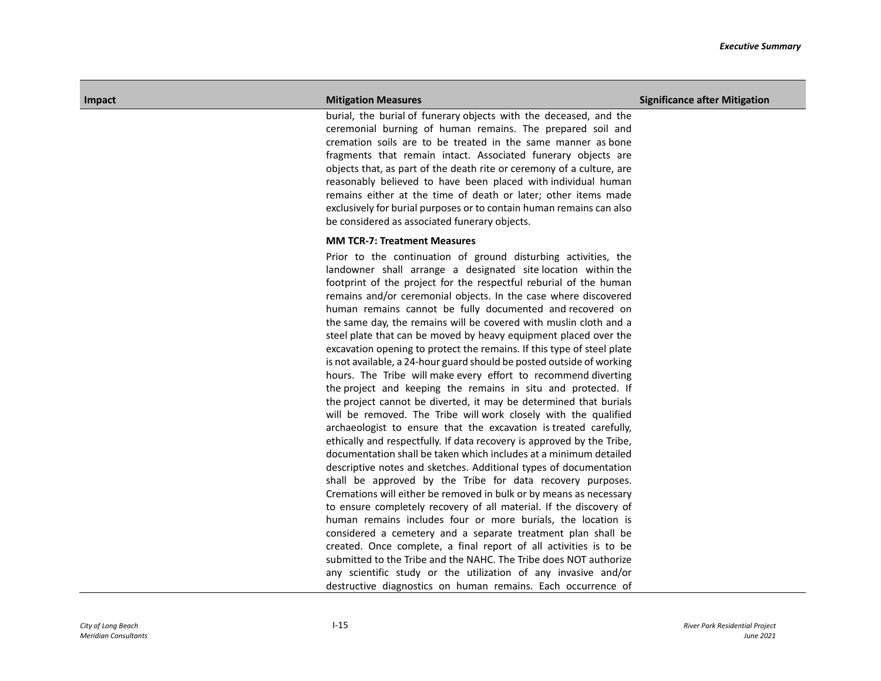burial, the burial of funerary objects with the deceased, and the ceremonial burning of human remains. The prepared soil and cremation soils are to be treated in the same manner as bone fragments that remain intact. Associated funerary objects are objects that, as part of the death rite or ceremony of a culture, are reasonably believed to have been placed with individual human remains either at the time of death or later; other items made exclusively for burial purposes or to contain human remains can also be considered as associated funerary objects.

## **MM TCR-7: Treatment Measures**

Prior to the continuation of ground disturbing activities, the landowner shall arrange a designated site location within the footprint of the project for the respectful reburial of the human remains and/or ceremonial objects. In the case where discovered human remains cannot be fully documented and recovered on the same day, the remains will be covered with muslin cloth and a steel plate that can be moved by heavy equipment placed over the excavation opening to protect the remains. If this type of steel plate is not available, a 24-hour guard should be posted outside of working hours. The Tribe will make every effort to recommend diverting the project and keeping the remains in situ and protected. If the project cannot be diverted, it may be determined that burials will be removed. The Tribe will work closely with the qualified archaeologist to ensure that the excavation is treated carefully, ethically and respectfully. If data recovery is approved by the Tribe, documentation shall be taken which includes at a minimum detailed descriptive notes and sketches. Additional types of documentation shall be approved by the Tribe for data recovery purposes. Cremations will either be removed in bulk or by means as necessary to ensure completely recovery of all material. If the discovery of human remains includes four or more burials, the location is considered a cemetery and a separate treatment plan shall be created. Once complete, a final report of all activities is to be submitted to the Tribe and the NAHC. The Tribe does NOT authorize any scientific study or the utilization of any invasive and/or destructive diagnostics on human remains. Each occurrence of